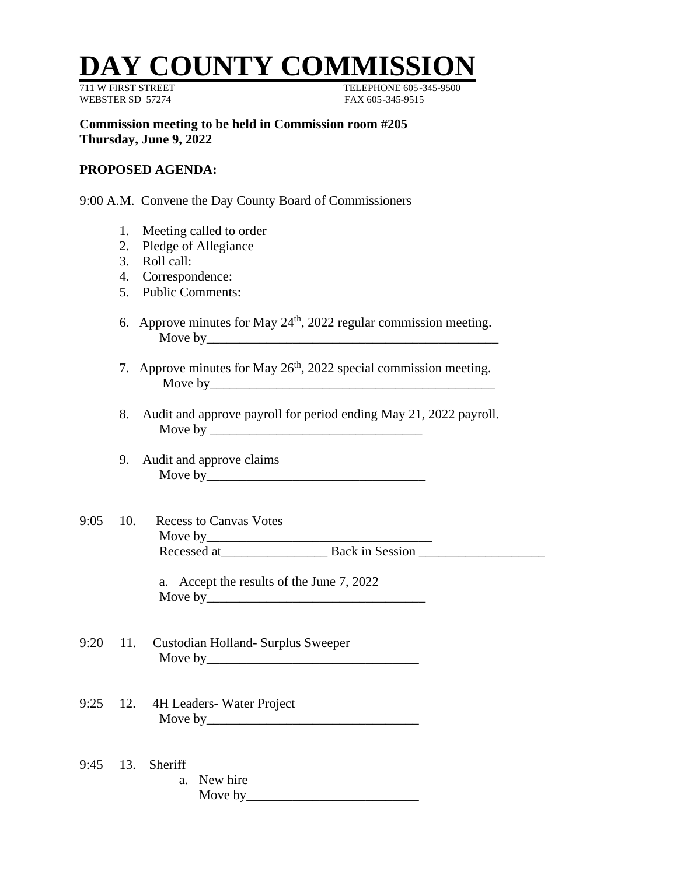## **Y COUNTY COMMISS**

WEBSTER SD 57274 FAX 605-345-9515

711 W FIRST STREET TELEPHONE 605-345-9500

**Commission meeting to be held in Commission room #205 Thursday, June 9, 2022**

## **PROPOSED AGENDA:**

9:00 A.M. Convene the Day County Board of Commissioners

- 1. Meeting called to order
- 2. Pledge of Allegiance
- 3. Roll call:
- 4. Correspondence:
- 5. Public Comments:
- 6. Approve minutes for May  $24<sup>th</sup>$ , 2022 regular commission meeting. Move by\_\_\_\_\_\_\_\_\_\_\_\_\_\_\_\_\_\_\_\_\_\_\_\_\_\_\_\_\_\_\_\_\_\_\_\_\_\_\_\_\_\_\_\_
- 7. Approve minutes for May  $26<sup>th</sup>$ , 2022 special commission meeting. Move by
- 8. Audit and approve payroll for period ending May 21, 2022 payroll. Move by \_\_\_\_\_\_\_\_\_\_\_\_\_\_\_\_\_\_\_\_\_\_\_\_\_\_\_\_\_\_\_\_
- 9. Audit and approve claims Move by\_\_\_\_\_\_\_\_\_\_\_\_\_\_\_\_\_\_\_\_\_\_\_\_\_\_\_\_\_\_\_\_\_
- 9:05 10. Recess to Canvas Votes Move by\_\_\_\_\_\_\_\_\_\_\_\_\_\_\_\_\_\_\_\_\_\_\_\_\_\_\_\_\_\_\_\_\_\_ Recessed at\_\_\_\_\_\_\_\_\_\_\_\_\_\_\_\_ Back in Session \_\_\_\_\_\_\_\_\_\_\_\_\_\_\_\_\_\_\_

a. Accept the results of the June 7, 2022 Move by\_\_\_\_\_\_\_\_\_\_\_\_\_\_\_\_\_\_\_\_\_\_\_\_\_\_\_\_\_\_\_\_\_

- 9:20 11. Custodian Holland- Surplus Sweeper Move by <u>example</u> and the set of  $\sim$
- 9:25 12. 4H Leaders- Water Project Move by\_\_\_\_\_\_\_\_\_\_\_\_\_\_\_\_\_\_\_\_\_\_\_\_\_\_\_\_\_\_\_\_
- 9:45 13. Sheriff a. New hire Move by  $\qquad \qquad$   $\qquad$   $\qquad$   $\qquad$   $\qquad$   $\qquad$   $\qquad$   $\qquad$   $\qquad$   $\qquad$   $\qquad$   $\qquad$   $\qquad$   $\qquad$   $\qquad$   $\qquad$   $\qquad$   $\qquad$   $\qquad$   $\qquad$   $\qquad$   $\qquad$   $\qquad$   $\qquad$   $\qquad$   $\qquad$   $\qquad$   $\qquad$   $\qquad$   $\qquad$   $\qquad$   $\qquad$   $\qquad$   $\qquad$   $\qquad$